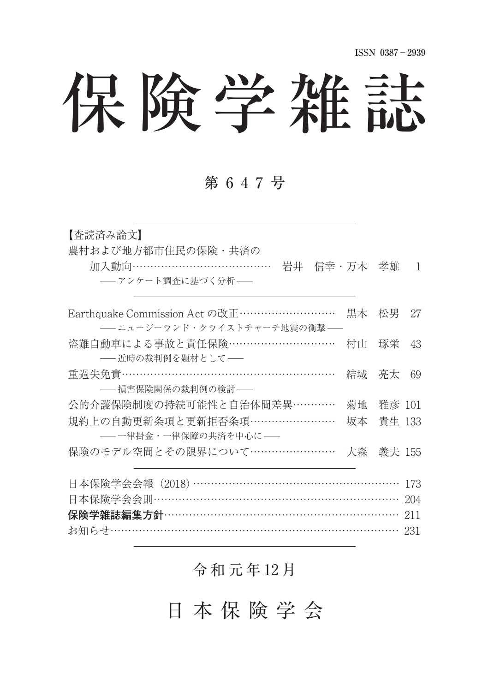# 保険学雑誌

#### 第 6 4 7 号

| 【杳読済み論文】<br>農村および地方都市住民の保険・共済の<br>加入動向…………………………………<br>岩井 信幸・万木 孝雄<br>――アンケート調査に基づく分析―― |    |        | $\overline{\phantom{0}}$ |
|-----------------------------------------------------------------------------------------|----|--------|--------------------------|
| Earthquake Commission Act の改正 ………………………<br>――ニュージーランド・クライストチャーチ地震の衝撃――                  | 黒木 | 松男     | 27                       |
| 盗難自動車による事故と責任保険…………………………<br>-- 近時の裁判例を題材として-                                           | 村山 | 琢栄     | 43                       |
| 重過失免責 ………………………………………………………<br>---- 損害保険関係の裁判例の検討---                                    | 結城 | 亮太     | 69                       |
| 公的介護保険制度の持続可能性と自治体間差異…………                                                               | 菊地 | 雅彦 101 |                          |
| 規約上の自動更新条項と更新拒否条項……………………<br>――一律掛金・一律保障の共済を中心に――                                       | 坂本 | 貴生 133 |                          |
| 保険のモデル空間とその限界について……………………                                                               | 大森 | 義夫 155 |                          |
| 日本保険学会会報 (2018) …………………………………………………<br>日本保険学会会則………………………………………………………                    |    |        | 173<br>204               |
| 保険学雑誌編集方針………………………………………………………<br>お知らせ………………………………………………………………………                       |    |        | 211<br>231               |
|                                                                                         |    |        |                          |

## 令 和 元 年 12 月

日 本 保 険 学 会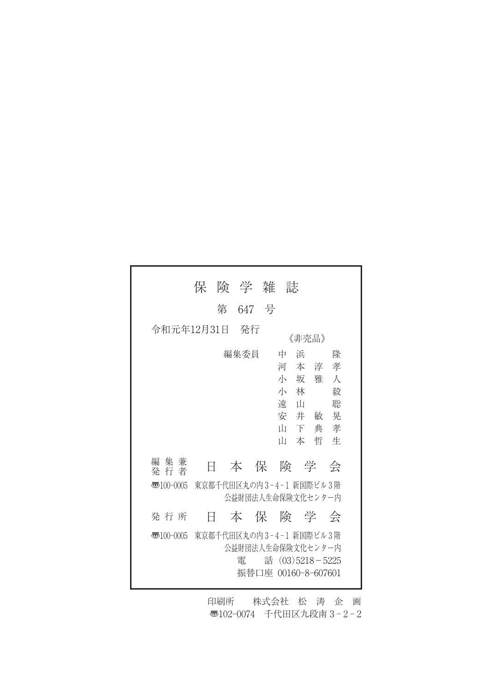|                                                           | 保 | 険 学 雑      |  | 誌                                                                                          |                                                |  |
|-----------------------------------------------------------|---|------------|--|--------------------------------------------------------------------------------------------|------------------------------------------------|--|
|                                                           |   | 第<br>647 号 |  |                                                                                            |                                                |  |
| 令和元年12月31日<br>- 発行<br>《非壳品》                               |   |            |  |                                                                                            |                                                |  |
|                                                           |   | 編集委員       |  | 中<br>浜<br>河<br>本淳孝<br>小 坂 雅<br>小 林<br>遠<br>ப<br>安井敏<br>Ш<br>下<br>Ш<br>本                    | 降<br>$\lambda$<br>毅<br>聡<br>晃<br>典 孝<br>哲<br>牛 |  |
| 編集兼<br>発 行 者                                              | Ħ |            |  | 本保険学                                                                                       | 会                                              |  |
| 東京都千代田区丸の内3-4-1 新国際ビル3階<br>雨100-0005<br>公益財団法人生命保険文化センター内 |   |            |  |                                                                                            |                                                |  |
| 発 行 所                                                     | Ħ |            |  | 本保険学会                                                                                      |                                                |  |
| $\overline{3}100-0005$                                    |   | 雷          |  | 東京都千代田区丸の内3-4-1 新国際ビル3階<br>公益財団法人生命保険文化センター内<br>話 $(03)5218 - 5225$<br>振替口座 00160-8-607601 |                                                |  |

印刷所 株式会社 松 涛 企 画 〠102-0074 千代田区九段南 3 - 2 - 2